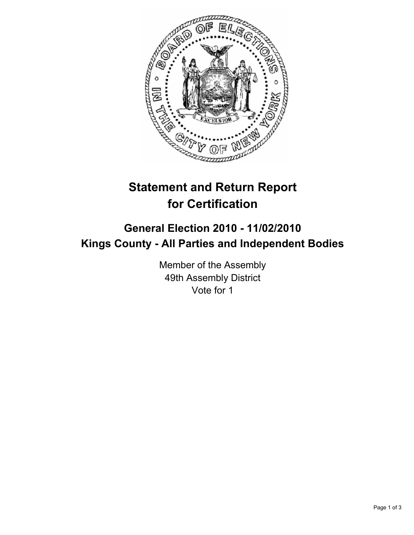

## **Statement and Return Report for Certification**

## **General Election 2010 - 11/02/2010 Kings County - All Parties and Independent Bodies**

Member of the Assembly 49th Assembly District Vote for 1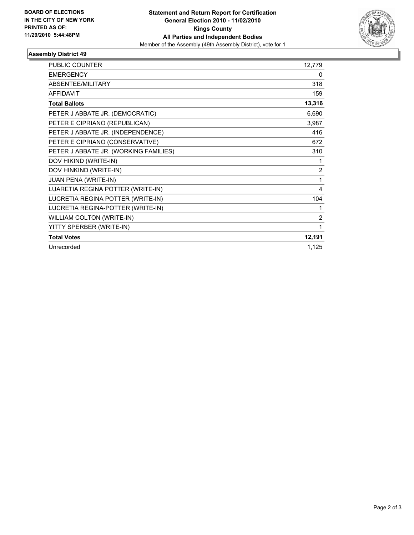

## **Assembly District 49**

| <b>PUBLIC COUNTER</b>                 | 12,779         |
|---------------------------------------|----------------|
| <b>EMERGENCY</b>                      | 0              |
| ABSENTEE/MILITARY                     | 318            |
| <b>AFFIDAVIT</b>                      | 159            |
| <b>Total Ballots</b>                  | 13,316         |
| PETER J ABBATE JR. (DEMOCRATIC)       | 6,690          |
| PETER E CIPRIANO (REPUBLICAN)         | 3,987          |
| PETER J ABBATE JR. (INDEPENDENCE)     | 416            |
| PETER E CIPRIANO (CONSERVATIVE)       | 672            |
| PETER J ABBATE JR. (WORKING FAMILIES) | 310            |
| DOV HIKIND (WRITE-IN)                 | 1              |
| DOV HINKIND (WRITE-IN)                | $\overline{2}$ |
| JUAN PENA (WRITE-IN)                  | 1              |
| LUARETIA REGINA POTTER (WRITE-IN)     | 4              |
| LUCRETIA REGINA POTTER (WRITE-IN)     | 104            |
| LUCRETIA REGINA-POTTER (WRITE-IN)     | 1              |
| WILLIAM COLTON (WRITE-IN)             | $\overline{2}$ |
| YITTY SPERBER (WRITE-IN)              | 1              |
| <b>Total Votes</b>                    | 12,191         |
| Unrecorded                            | 1,125          |